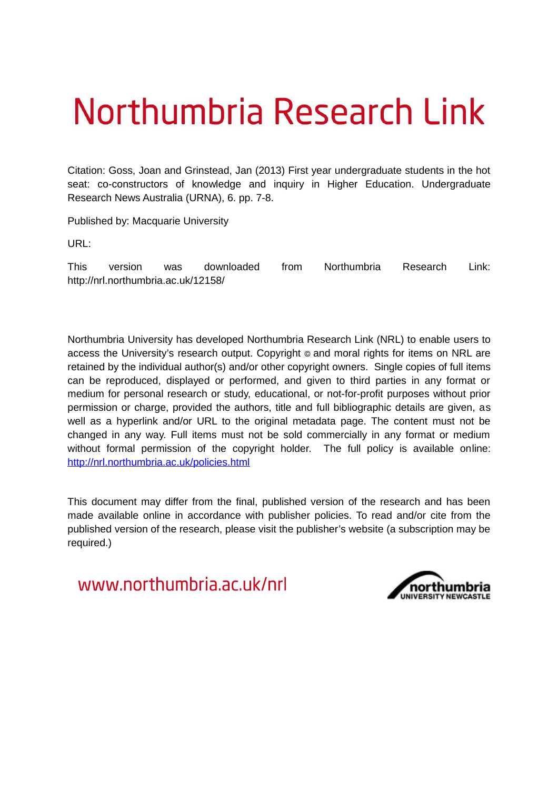# Northumbria Research Link

Citation: Goss, Joan and Grinstead, Jan (2013) First year undergraduate students in the hot seat: co-constructors of knowledge and inquiry in Higher Education. Undergraduate Research News Australia (URNA), 6. pp. 7-8.

Published by: Macquarie University

URL:

This version was downloaded from Northumbria Research Link: http://nrl.northumbria.ac.uk/12158/

Northumbria University has developed Northumbria Research Link (NRL) to enable users to access the University's research output. Copyright  $\circ$  and moral rights for items on NRL are retained by the individual author(s) and/or other copyright owners. Single copies of full items can be reproduced, displayed or performed, and given to third parties in any format or medium for personal research or study, educational, or not-for-profit purposes without prior permission or charge, provided the authors, title and full bibliographic details are given, as well as a hyperlink and/or URL to the original metadata page. The content must not be changed in any way. Full items must not be sold commercially in any format or medium without formal permission of the copyright holder. The full policy is available online: <http://nrl.northumbria.ac.uk/policies.html>

This document may differ from the final, published version of the research and has been made available online in accordance with publisher policies. To read and/or cite from the published version of the research, please visit the publisher's website (a subscription may be required.)

www.northumbria.ac.uk/nrl

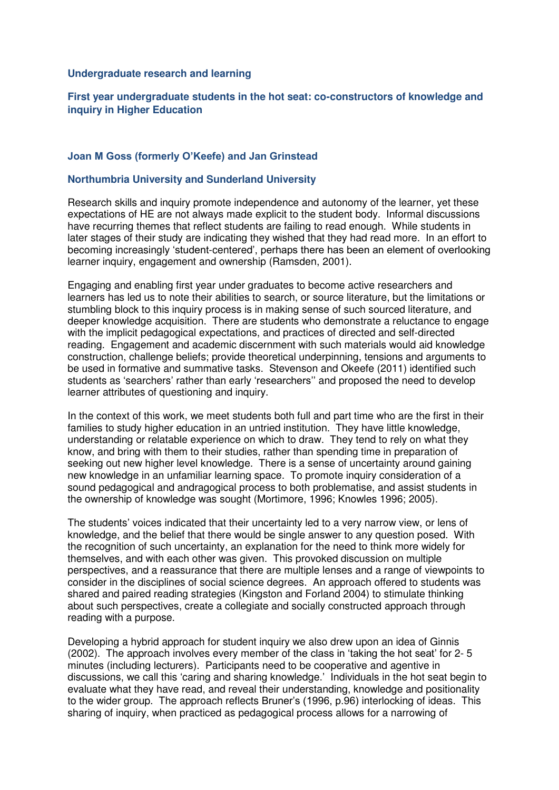#### **Undergraduate research and learning**

# **First year undergraduate students in the hot seat: co-constructors of knowledge and inquiry in Higher Education**

## **Joan M Goss (formerly O'Keefe) and Jan Grinstead**

## **Northumbria University and Sunderland University**

Research skills and inquiry promote independence and autonomy of the learner, yet these expectations of HE are not always made explicit to the student body. Informal discussions have recurring themes that reflect students are failing to read enough. While students in later stages of their study are indicating they wished that they had read more. In an effort to becoming increasingly "student-centered", perhaps there has been an element of overlooking learner inquiry, engagement and ownership (Ramsden, 2001).

Engaging and enabling first year under graduates to become active researchers and learners has led us to note their abilities to search, or source literature, but the limitations or stumbling block to this inquiry process is in making sense of such sourced literature, and deeper knowledge acquisition. There are students who demonstrate a reluctance to engage with the implicit pedagogical expectations, and practices of directed and self-directed reading. Engagement and academic discernment with such materials would aid knowledge construction, challenge beliefs; provide theoretical underpinning, tensions and arguments to be used in formative and summative tasks. Stevenson and Okeefe (2011) identified such students as 'searchers' rather than early 'researchers" and proposed the need to develop learner attributes of questioning and inquiry.

In the context of this work, we meet students both full and part time who are the first in their families to study higher education in an untried institution. They have little knowledge, understanding or relatable experience on which to draw. They tend to rely on what they know, and bring with them to their studies, rather than spending time in preparation of seeking out new higher level knowledge. There is a sense of uncertainty around gaining new knowledge in an unfamiliar learning space. To promote inquiry consideration of a sound pedagogical and andragogical process to both problematise, and assist students in the ownership of knowledge was sought (Mortimore, 1996; Knowles 1996; 2005).

The students" voices indicated that their uncertainty led to a very narrow view, or lens of knowledge, and the belief that there would be single answer to any question posed. With the recognition of such uncertainty, an explanation for the need to think more widely for themselves, and with each other was given. This provoked discussion on multiple perspectives, and a reassurance that there are multiple lenses and a range of viewpoints to consider in the disciplines of social science degrees. An approach offered to students was shared and paired reading strategies (Kingston and Forland 2004) to stimulate thinking about such perspectives, create a collegiate and socially constructed approach through reading with a purpose.

Developing a hybrid approach for student inquiry we also drew upon an idea of Ginnis (2002). The approach involves every member of the class in "taking the hot seat" for 2- 5 minutes (including lecturers). Participants need to be cooperative and agentive in discussions, we call this "caring and sharing knowledge." Individuals in the hot seat begin to evaluate what they have read, and reveal their understanding, knowledge and positionality to the wider group. The approach reflects Bruner"s (1996, p.96) interlocking of ideas.This sharing of inquiry, when practiced as pedagogical process allows for a narrowing of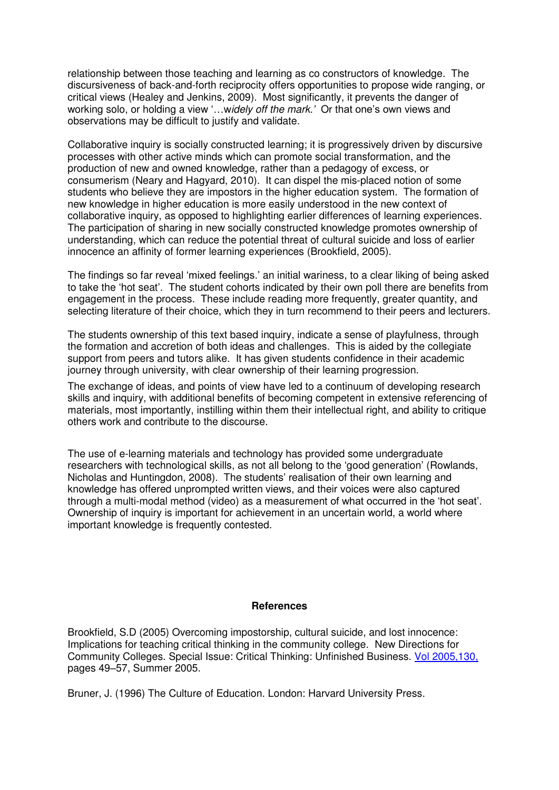relationship between those teaching and learning as co constructors of knowledge. The discursiveness of back-and-forth reciprocity offers opportunities to propose wide ranging, or critical views (Healey and Jenkins, 2009). Most significantly, it prevents the danger of working solo, or holding a view "…w*idely off the mark.'* Or that one"s own views and observations may be difficult to justify and validate.

Collaborative inquiry is socially constructed learning; it is progressively driven by discursive processes with other active minds which can promote social transformation, and the production of new and owned knowledge, rather than a pedagogy of excess, or consumerism (Neary and Hagyard, 2010). It can dispel the mis-placed notion of some students who believe they are impostors in the higher education system. The formation of new knowledge in higher education is more easily understood in the new context of collaborative inquiry, as opposed to highlighting earlier differences of learning experiences. The participation of sharing in new socially constructed knowledge promotes ownership of understanding, which can reduce the potential threat of cultural suicide and loss of earlier innocence an affinity of former learning experiences (Brookfield, 2005).

The findings so far reveal "mixed feelings." an initial wariness, to a clear liking of being asked to take the "hot seat". The student cohorts indicated by their own poll there are benefits from engagement in the process. These include reading more frequently, greater quantity, and selecting literature of their choice, which they in turn recommend to their peers and lecturers.

The students ownership of this text based inquiry, indicate a sense of playfulness, through the formation and accretion of both ideas and challenges. This is aided by the collegiate support from peers and tutors alike. It has given students confidence in their academic journey through university, with clear ownership of their learning progression.

The exchange of ideas, and points of view have led to a continuum of developing research skills and inquiry, with additional benefits of becoming competent in extensive referencing of materials, most importantly, instilling within them their intellectual right, and ability to critique others work and contribute to the discourse.

The use of e-learning materials and technology has provided some undergraduate researchers with technological skills, as not all belong to the "good generation" (Rowlands, Nicholas and Huntingdon, 2008). The students" realisation of their own learning and knowledge has offered unprompted written views, and their voices were also captured through a multi-modal method (video) as a measurement of what occurred in the "hot seat". Ownership of inquiry is important for achievement in an uncertain world, a world where important knowledge is frequently contested.

#### **References**

Brookfield, S.D (2005) Overcoming impostorship, cultural suicide, and lost innocence: Implications for teaching critical thinking in the community college. New Directions for Community Colleges. Special Issue: Critical Thinking: Unfinished Business. [Vol 2005,130,](http://onlinelibrary.wiley.com/doi/10.1002/cc.v2005:130/issuetoc)  pages 49–57, Summer 2005.

Bruner, J. (1996) The Culture of Education. London: Harvard University Press.